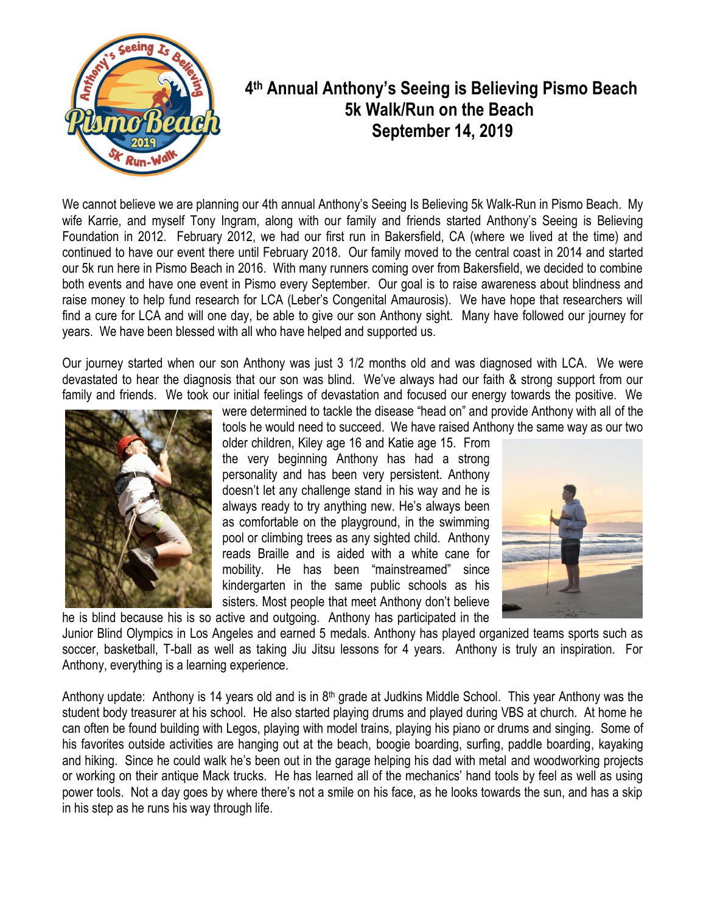

## **4 th Annual Anthony's Seeing is Believing Pismo Beach 5k Walk/Run on the Beach September 14, 2019**

We cannot believe we are planning our 4th annual Anthony's Seeing Is Believing 5k Walk-Run in Pismo Beach. My wife Karrie, and myself Tony Ingram, along with our family and friends started Anthony's Seeing is Believing Foundation in 2012. February 2012, we had our first run in Bakersfield, CA (where we lived at the time) and continued to have our event there until February 2018. Our family moved to the central coast in 2014 and started our 5k run here in Pismo Beach in 2016. With many runners coming over from Bakersfield, we decided to combine both events and have one event in Pismo every September. Our goal is to raise awareness about blindness and raise money to help fund research for LCA (Leber's Congenital Amaurosis). We have hope that researchers will find a cure for LCA and will one day, be able to give our son Anthony sight. Many have followed our journey for years. We have been blessed with all who have helped and supported us.

Our journey started when our son Anthony was just 3 1/2 months old and was diagnosed with LCA. We were devastated to hear the diagnosis that our son was blind. We've always had our faith & strong support from our family and friends. We took our initial feelings of devastation and focused our energy towards the positive. We



were determined to tackle the disease "head on" and provide Anthony with all of the tools he would need to succeed. We have raised Anthony the same way as our two

older children, Kiley age 16 and Katie age 15. From the very beginning Anthony has had a strong personality and has been very persistent. Anthony doesn't let any challenge stand in his way and he is always ready to try anything new. He's always been as comfortable on the playground, in the swimming pool or climbing trees as any sighted child. Anthony reads Braille and is aided with a white cane for mobility. He has been "mainstreamed" since kindergarten in the same public schools as his sisters. Most people that meet Anthony don't believe he is blind because his is so active and outgoing. Anthony has participated in the



Junior Blind Olympics in Los Angeles and earned 5 medals. Anthony has played organized teams sports such as soccer, basketball, T-ball as well as taking Jiu Jitsu lessons for 4 years. Anthony is truly an inspiration. For Anthony, everything is a learning experience.

Anthony update: Anthony is 14 years old and is in 8<sup>th</sup> grade at Judkins Middle School. This year Anthony was the student body treasurer at his school. He also started playing drums and played during VBS at church. At home he can often be found building with Legos, playing with model trains, playing his piano or drums and singing. Some of his favorites outside activities are hanging out at the beach, boogie boarding, surfing, paddle boarding, kayaking and hiking. Since he could walk he's been out in the garage helping his dad with metal and woodworking projects or working on their antique Mack trucks. He has learned all of the mechanics' hand tools by feel as well as using power tools. Not a day goes by where there's not a smile on his face, as he looks towards the sun, and has a skip in his step as he runs his way through life.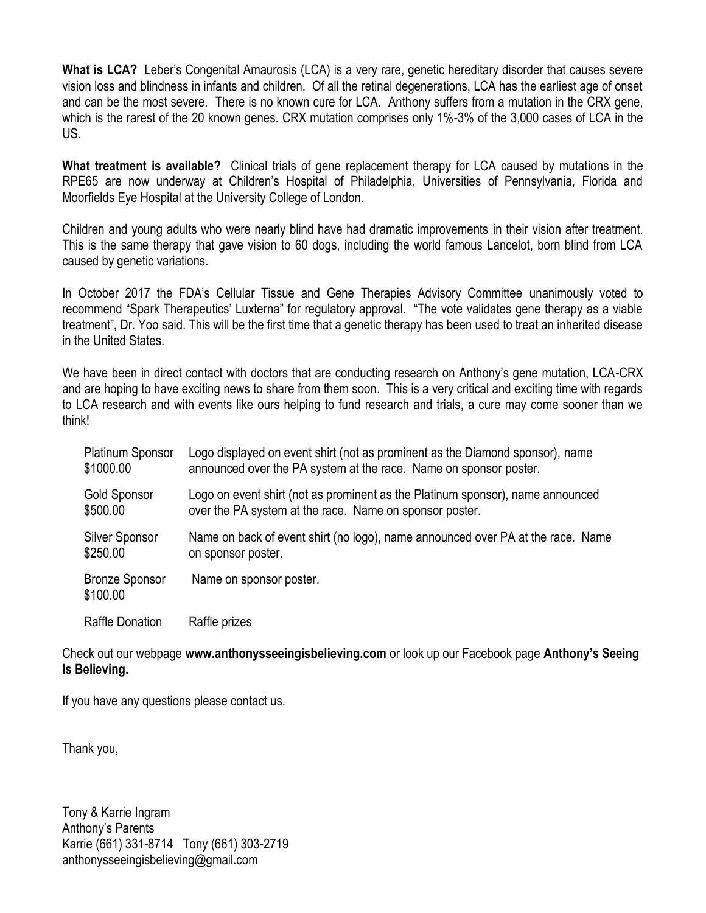**What is LCA?** Leber's Congenital Amaurosis (LCA) is a very rare, genetic hereditary disorder that causes severe vision loss and blindness in infants and children. Of all the retinal degenerations, LCA has the earliest age of onset and can be the most severe. There is no known cure for LCA. Anthony suffers from a mutation in the CRX gene, which is the rarest of the 20 known genes. CRX mutation comprises only 1%-3% of the 3,000 cases of LCA in the US.

**What treatment is available?** Clinical trials of gene replacement therapy for LCA caused by mutations in the RPE65 are now underway at Children's Hospital of Philadelphia, Universities of Pennsylvania, Florida and Moorfields Eye Hospital at the University College of London.

Children and young adults who were nearly blind have had dramatic improvements in their vision after treatment. This is the same therapy that gave vision to 60 dogs, including the world famous Lancelot, born blind from LCA caused by genetic variations.

In October 2017 the FDA's Cellular Tissue and Gene Therapies Advisory Committee unanimously voted to recommend "Spark Therapeutics' Luxterna" for regulatory approval. "The vote validates gene therapy as a viable treatment", Dr. Yoo said. This will be the first time that a genetic therapy has been used to treat an inherited disease in the United States.

We have been in direct contact with doctors that are conducting research on Anthony's gene mutation, LCA-CRX and are hoping to have exciting news to share from them soon. This is a very critical and exciting time with regards to LCA research and with events like ours helping to fund research and trials, a cure may come sooner than we think!

| <b>Platinum Sponsor</b>           | Logo displayed on event shirt (not as prominent as the Diamond sponsor), name   |
|-----------------------------------|---------------------------------------------------------------------------------|
| \$1000.00                         | announced over the PA system at the race. Name on sponsor poster.               |
| Gold Sponsor                      | Logo on event shirt (not as prominent as the Platinum sponsor), name announced  |
| \$500.00                          | over the PA system at the race. Name on sponsor poster.                         |
| Silver Sponsor                    | Name on back of event shirt (no logo), name announced over PA at the race. Name |
| \$250.00                          | on sponsor poster.                                                              |
| <b>Bronze Sponsor</b><br>\$100.00 | Name on sponsor poster.                                                         |
| <b>Raffle Donation</b>            | Raffle prizes                                                                   |

Check out our webpage **www.anthonysseeingisbelieving.com** or look up our Facebook page **Anthony's Seeing Is Believing.**

If you have any questions please contact us.

Thank you,

Tony & Karrie Ingram Anthony's Parents Karrie (661) 331-8714 Tony (661) 303-2719 anthonysseeingisbelieving@gmail.com